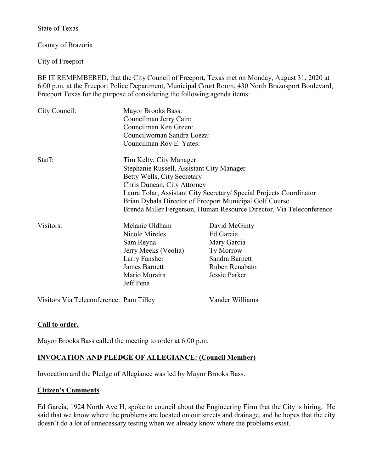State of Texas

County of Brazoria

City of Freeport

BE IT REMEMBERED, that the City Council of Freeport, Texas met on Monday, August 31, 2020 at 6:00 p.m. at the Freeport Police Department, Municipal Court Room, 430 North Brazosport Boulevard, Freeport Texas for the purpose of considering the following agenda items:

| City Council: | <b>Mayor Brooks Bass:</b><br>Councilman Jerry Cain:<br>Councilman Ken Green:<br>Councilwoman Sandra Loeza:<br>Councilman Roy E. Yates:                                                                                                                                                                                                       |                                                                                                                    |
|---------------|----------------------------------------------------------------------------------------------------------------------------------------------------------------------------------------------------------------------------------------------------------------------------------------------------------------------------------------------|--------------------------------------------------------------------------------------------------------------------|
| Staff:        | Tim Kelty, City Manager<br>Stephanie Russell, Assistant City Manager<br>Betty Wells, City Secretary<br>Chris Duncan, City Attorney<br>Laura Tolar, Assistant City Secretary/ Special Projects Coordinator<br>Brian Dybala Director of Freeport Municipal Golf Course<br>Brenda Miller Fergerson, Human Resource Director, Via Teleconference |                                                                                                                    |
| Visitors:     | Melanie Oldham<br>Nicole Mireles<br>Sam Reyna<br>Jerry Meeks (Veolia)<br>Larry Fansher<br>James Barnett<br>Mario Muraira<br>Jeff Pena                                                                                                                                                                                                        | David McGinty<br>Ed Garcia<br>Mary Garcia<br><b>Ty Morrow</b><br>Sandra Barnett<br>Ruben Renabato<br>Jessie Parker |

Visitors Via Teleconference: Pam Tilley Vander Williams

# **Call to order.**

Mayor Brooks Bass called the meeting to order at 6:00 p.m.

# **INVOCATION AND PLEDGE OF ALLEGIANCE: (Council Member)**

Invocation and the Pledge of Allegiance was led by Mayor Brooks Bass.

# **Citizen's Comments**

Ed Garcia, 1924 North Ave H, spoke to council about the Engineering Firm that the City is hiring. He said that we know where the problems are located on our streets and drainage, and he hopes that the city doesn't do a lot of unnecessary testing when we already know where the problems exist.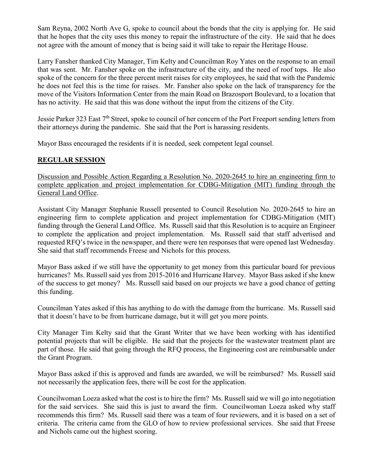Sam Reyna, 2002 North Ave G, spoke to council about the bonds that the city is applying for. He said that he hopes that the city uses this money to repair the infrastructure of the city. He said that he does not agree with the amount of money that is being said it will take to repair the Heritage House.

Larry Fansher thanked City Manager, Tim Kelty and Councilman Roy Yates on the response to an email that was sent. Mr. Fansher spoke on the infrastructure of the city, and the need of roof tops. He also spoke of the concern for the three percent merit raises for city employees, he said that with the Pandemic he does not feel this is the time for raises. Mr. Fansher also spoke on the lack of transparency for the move of the Visitors Information Center from the main Road on Brazosport Boulevard, to a location that has no activity. He said that this was done without the input from the citizens of the City.

Jessie Parker 323 East 7<sup>th</sup> Street, spoke to council of her concern of the Port Freeport sending letters from their attorneys during the pandemic. She said that the Port is harassing residents.

Mayor Bass encouraged the residents if it is needed, seek competent legal counsel.

### **REGULAR SESSION**

Discussion and Possible Action Regarding a Resolution No. 2020-2645 to hire an engineering firm to complete application and project implementation for CDBG-Mitigation (MIT) funding through the General Land Office.

Assistant City Manager Stephanie Russell presented to Council Resolution No. 2020-2645 to hire an engineering firm to complete application and project implementation for CDBG-Mitigation (MIT) funding through the General Land Office. Ms. Russell said that this Resolution is to acquire an Engineer to complete the application and project implementation. Ms. Russell said that staff advertised and requested RFQ's twice in the newspaper, and there were ten responses that were opened last Wednesday. She said that staff recommends Freese and Nichols for this process.

Mayor Bass asked if we still have the opportunity to get money from this particular board for previous hurricanes? Ms. Russell said yes from 2015-2016 and Hurricane Harvey. Mayor Bass asked if she knew of the success to get money? Ms. Russell said based on our projects we have a good chance of getting this funding.

Councilman Yates asked if this has anything to do with the damage from the hurricane. Ms. Russell said that it doesn't have to be from hurricane damage, but it will get you more points.

City Manager Tim Kelty said that the Grant Writer that we have been working with has identified potential projects that will be eligible. He said that the projects for the wastewater treatment plant are part of those. He said that going through the RFQ process, the Engineering cost are reimbursable under the Grant Program.

Mayor Bass asked if this is approved and funds are awarded, we will be reimbursed? Ms. Russell said not necessarily the application fees, there will be cost for the application.

Councilwoman Loeza asked what the cost is to hire the firm? Ms. Russell said we will go into negotiation for the said services. She said this is just to award the firm. Councilwoman Loeza asked why staff recommends this firm? Ms. Russell said there was a team of four reviewers, and it is based on a set of criteria. The criteria came from the GLO of how to review professional services. She said that Freese and Nichols came out the highest scoring.